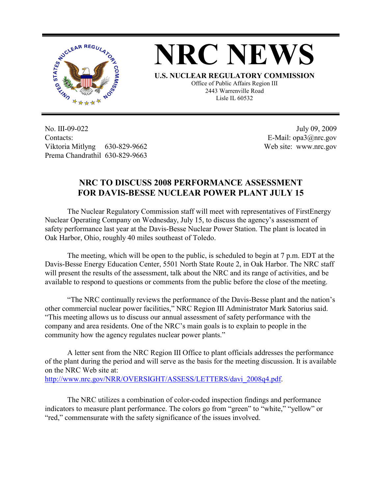



**U.S. NUCLEAR REGULATORY COMMISSION** Office of Public Affairs Region III 2443 Warrenville Road Lisle IL 60532

No. III-09-022 Contacts: Viktoria Mitlyng 630-829-9662 Prema Chandrathil 630-829-9663

 July 09, 2009 E-Mail: opa3@nrc.gov Web site: www.nrc.gov

## **NRC TO DISCUSS 2008 PERFORMANCE ASSESSMENT FOR DAVIS-BESSE NUCLEAR POWER PLANT JULY 15**

 The Nuclear Regulatory Commission staff will meet with representatives of FirstEnergy Nuclear Operating Company on Wednesday, July 15, to discuss the agency's assessment of safety performance last year at the Davis-Besse Nuclear Power Station. The plant is located in Oak Harbor, Ohio, roughly 40 miles southeast of Toledo.

 The meeting, which will be open to the public, is scheduled to begin at 7 p.m. EDT at the Davis-Besse Energy Education Center, 5501 North State Route 2, in Oak Harbor. The NRC staff will present the results of the assessment, talk about the NRC and its range of activities, and be available to respond to questions or comments from the public before the close of the meeting.

 "The NRC continually reviews the performance of the Davis-Besse plant and the nation's other commercial nuclear power facilities," NRC Region III Administrator Mark Satorius said. "This meeting allows us to discuss our annual assessment of safety performance with the company and area residents. One of the NRC's main goals is to explain to people in the community how the agency regulates nuclear power plants."

 A letter sent from the NRC Region III Office to plant officials addresses the performance of the plant during the period and will serve as the basis for the meeting discussion. It is available on the NRC Web site at: http://www.nrc.gov/NRR/OVERSIGHT/ASSESS/LETTERS/davi\_2008q4.pdf.

The NRC utilizes a combination of color-coded inspection findings and performance indicators to measure plant performance. The colors go from "green" to "white," "yellow" or "red," commensurate with the safety significance of the issues involved.